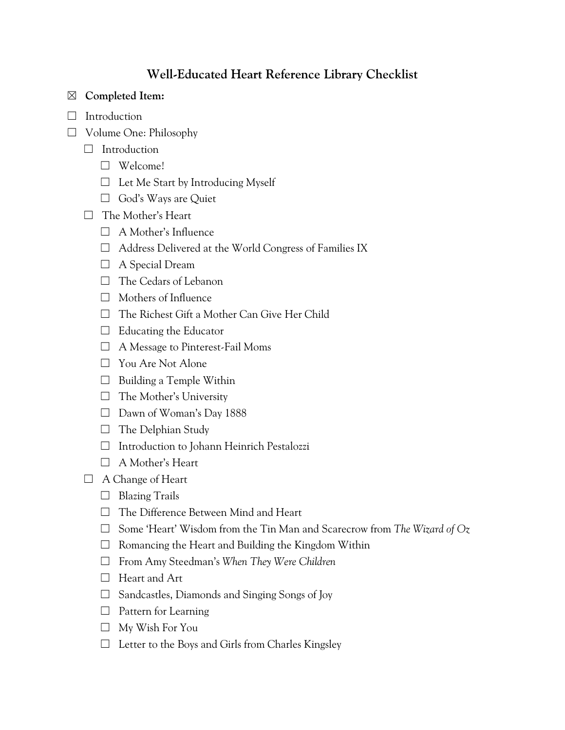# **Well-Educated Heart Reference Library Checklist**

### ☒ **Completed Item:**

- □ Introduction
- ☐ Volume One: Philosophy
	- □ Introduction
		- ☐ Welcome!
		- $\Box$  Let Me Start by Introducing Myself
		- □ God's Ways are Quiet
	- ☐ The Mother's Heart
		- ☐ A Mother's Influence
		- ☐ Address Delivered at the World Congress of Families IX
		- □ A Special Dream
		- □ The Cedars of Lebanon
		- $\Box$  Mothers of Influence
		- ☐ The Richest Gift a Mother Can Give Her Child
		- $\Box$  Educating the Educator
		- ☐ A Message to Pinterest-Fail Moms
		- ☐ You Are Not Alone
		- $\Box$  Building a Temple Within
		- ☐ The Mother's University
		- ☐ Dawn of Woman's Day 1888
		- $\Box$  The Delphian Study
		- ☐ Introduction to Johann Heinrich Pestalozzi
		- ☐ A Mother's Heart
	- □ A Change of Heart
		- $\Box$  Blazing Trails
		- ☐ The Difference Between Mind and Heart
		- ☐ Some 'Heart' Wisdom from the Tin Man and Scarecrow from *The Wizard of Oz*
		- $\Box$  Romancing the Heart and Building the Kingdom Within
		- ☐ From Amy Steedman's *When They Were Children*
		- □ Heart and Art
		- $\Box$  Sandcastles, Diamonds and Singing Songs of Joy
		- $\Box$  Pattern for Learning
		- ☐ My Wish For You
		- $\Box$  Letter to the Boys and Girls from Charles Kingsley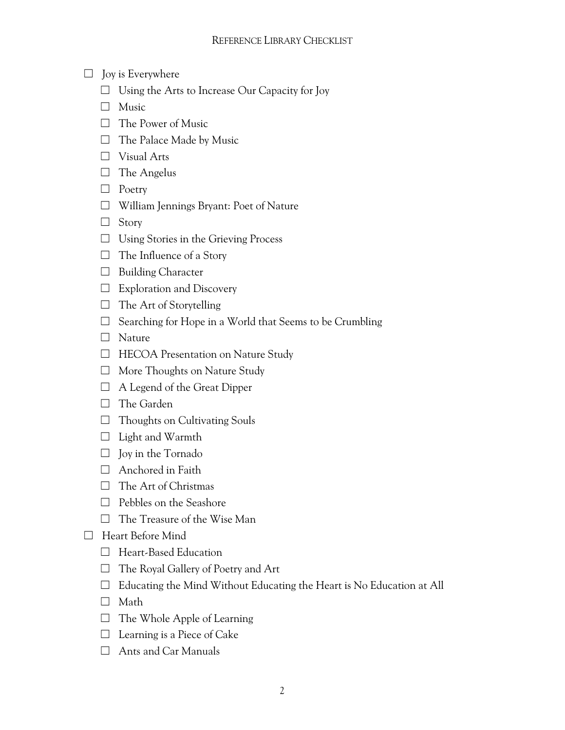- $\Box$  Joy is Everywhere
	- $\Box$  Using the Arts to Increase Our Capacity for Joy
	- □ Music
	- ☐ The Power of Music
	- $\Box$  The Palace Made by Music
	- ☐ Visual Arts
	- ☐ The Angelus
	- ☐ Poetry
	- ☐ William Jennings Bryant: Poet of Nature
	- ☐ Story
	- ☐ Using Stories in the Grieving Process
	- $\Box$  The Influence of a Story
	- □ Building Character
	- $\Box$  Exploration and Discovery
	- $\Box$  The Art of Storytelling
	- $\Box$  Searching for Hope in a World that Seems to be Crumbling
	- □ Nature
	- □ HECOA Presentation on Nature Study
	- ☐ More Thoughts on Nature Study
	- $\Box$  A Legend of the Great Dipper
	- □ The Garden
	- ☐ Thoughts on Cultivating Souls
	- ☐ Light and Warmth
	- $\Box$  Joy in the Tornado
	- $\Box$  Anchored in Faith
	- □ The Art of Christmas
	- ☐ Pebbles on the Seashore
	- ☐ The Treasure of the Wise Man
- ☐ Heart Before Mind
	- □ Heart-Based Education
	- $\Box$  The Royal Gallery of Poetry and Art
	- $\Box$  Educating the Mind Without Educating the Heart is No Education at All
	- ☐ Math
	- $\Box$  The Whole Apple of Learning
	- $\Box$  Learning is a Piece of Cake
	- ☐ Ants and Car Manuals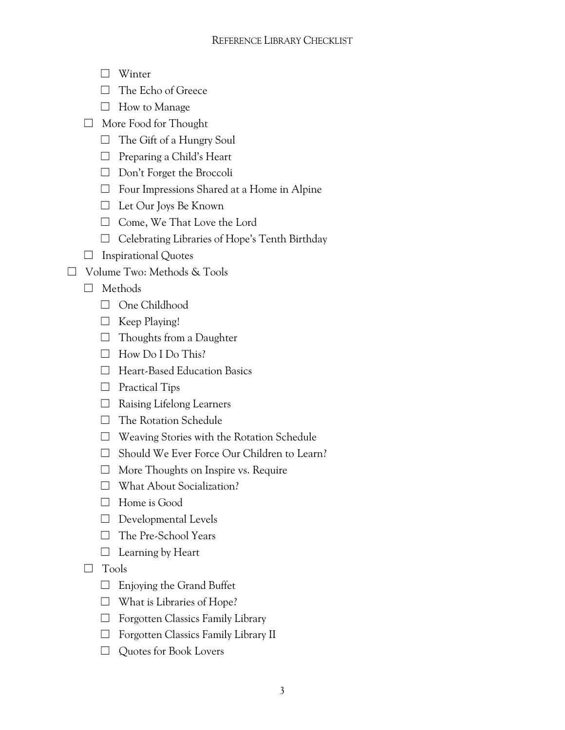### REFERENCE LIBRARY CHECKLIST

- ☐ Winter
- ☐ The Echo of Greece
- ☐ How to Manage
- ☐ More Food for Thought
	- $\Box$  The Gift of a Hungry Soul
	- ☐ Preparing a Child's Heart
	- ☐ Don't Forget the Broccoli
	- ☐ Four Impressions Shared at a Home in Alpine
	- ☐ Let Our Joys Be Known
	- ☐ Come, We That Love the Lord
	- ☐ Celebrating Libraries of Hope's Tenth Birthday
- $\Box$  Inspirational Quotes
- ☐ Volume Two: Methods & Tools
	- ☐ Methods
		- □ One Childhood
		- □ Keep Playing!
		- $\Box$  Thoughts from a Daughter
		- $\Box$  How Do I Do This?
		- ☐ Heart-Based Education Basics
		- □ Practical Tips
		- ☐ Raising Lifelong Learners
		- □ The Rotation Schedule
		- ☐ Weaving Stories with the Rotation Schedule
		- ☐ Should We Ever Force Our Children to Learn?
		- ☐ More Thoughts on Inspire vs. Require
		- ☐ What About Socialization?
		- ☐ Home is Good
		- $\Box$  Developmental Levels
		- □ The Pre-School Years
		- $\Box$  Learning by Heart
	- ☐ Tools
		- $\Box$  Enjoying the Grand Buffet
		- $\Box$  What is Libraries of Hope?
		- ☐ Forgotten Classics Family Library
		- ☐ Forgotten Classics Family Library II
		- □ Quotes for Book Lovers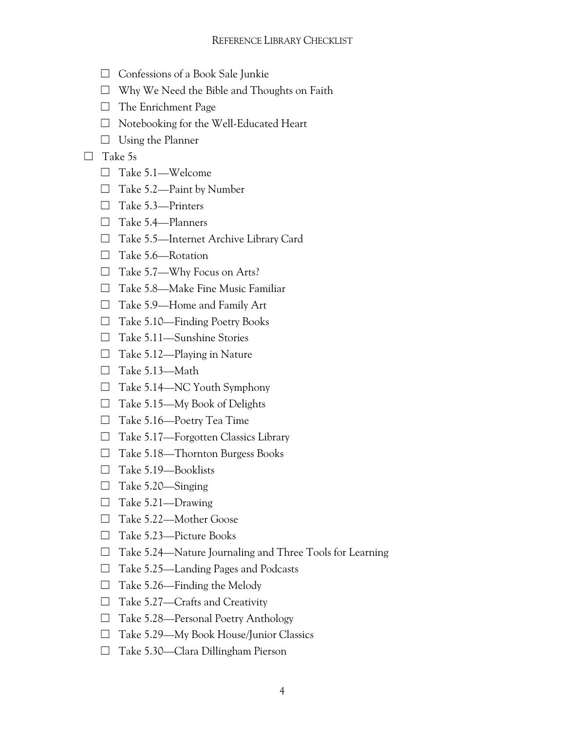- ☐ Confessions of a Book Sale Junkie
- ☐ Why We Need the Bible and Thoughts on Faith
- □ The Enrichment Page
- ☐ Notebooking for the Well-Educated Heart
- $\Box$  Using the Planner

#### ☐ Take 5s

- ☐ Take 5.1—Welcome
- ☐ Take 5.2—Paint by Number
- ☐ Take 5.3—Printers
- ☐ Take 5.4—Planners
- ☐ Take 5.5—Internet Archive Library Card
- ☐ Take 5.6—Rotation
- ☐ Take 5.7—Why Focus on Arts?
- ☐ Take 5.8—Make Fine Music Familiar
- ☐ Take 5.9—Home and Family Art
- ☐ Take 5.10—Finding Poetry Books
- ☐ Take 5.11—Sunshine Stories
- $\Box$  Take 5.12—Playing in Nature
- ☐ Take 5.13—Math
- $\Box$  Take 5.14—NC Youth Symphony
- ☐ Take 5.15—My Book of Delights
- ☐ Take 5.16—Poetry Tea Time
- ☐ Take 5.17—Forgotten Classics Library
- ☐ Take 5.18—Thornton Burgess Books
- ☐ Take 5.19—Booklists
- ☐ Take 5.20—Singing
- $\Box$  Take 5.21—Drawing
- ☐ Take 5.22—Mother Goose
- ☐ Take 5.23—Picture Books
- ☐ Take 5.24—Nature Journaling and Three Tools for Learning
- ☐ Take 5.25—Landing Pages and Podcasts
- $\Box$  Take 5.26—Finding the Melody
- $\Box$  Take 5.27—Crafts and Creativity
- ☐ Take 5.28—Personal Poetry Anthology
- ☐ Take 5.29—My Book House/Junior Classics
- ☐ Take 5.30—Clara Dillingham Pierson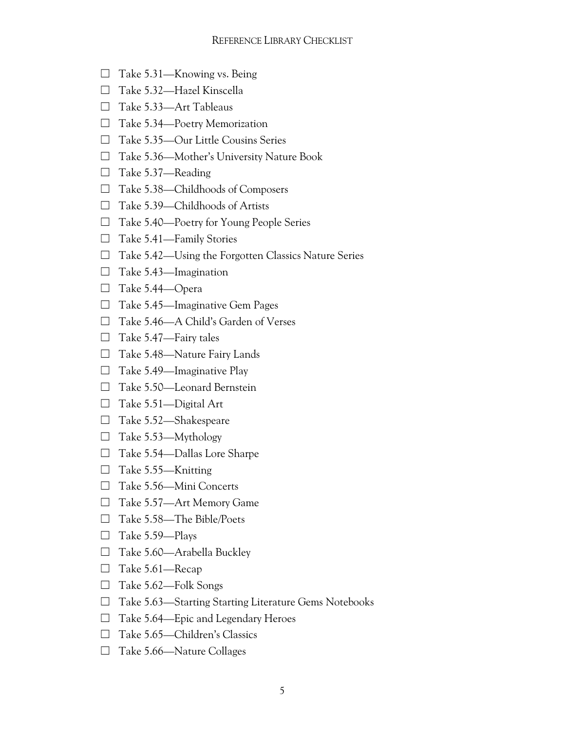- $\Box$  Take 5.31—Knowing vs. Being
- ☐ Take 5.32—Hazel Kinscella
- ☐ Take 5.33—Art Tableaus
- ☐ Take 5.34—Poetry Memorization
- ☐ Take 5.35—Our Little Cousins Series
- ☐ Take 5.36—Mother's University Nature Book
- ☐ Take 5.37—Reading
- ☐ Take 5.38—Childhoods of Composers
- ☐ Take 5.39—Childhoods of Artists
- ☐ Take 5.40—Poetry for Young People Series
- ☐ Take 5.41—Family Stories
- ☐ Take 5.42—Using the Forgotten Classics Nature Series
- $\Box$  Take 5.43—Imagination
- ☐ Take 5.44—Opera
- ☐ Take 5.45—Imaginative Gem Pages
- ☐ Take 5.46—A Child's Garden of Verses
- $\Box$  Take 5.47—Fairy tales
- ☐ Take 5.48—Nature Fairy Lands
- $\Box$  Take 5.49—Imaginative Play
- ☐ Take 5.50—Leonard Bernstein
- □ Take 5.51—Digital Art
- ☐ Take 5.52—Shakespeare
- $\Box$  Take 5.53—Mythology
- ☐ Take 5.54—Dallas Lore Sharpe
- ☐ Take 5.55—Knitting
- ☐ Take 5.56—Mini Concerts
- ☐ Take 5.57—Art Memory Game
- ☐ Take 5.58—The Bible/Poets
- ☐ Take 5.59—Plays
- $\Box$  Take 5.60—Arabella Buckley
- ☐ Take 5.61—Recap
- ☐ Take 5.62—Folk Songs
- ☐ Take 5.63—Starting Starting Literature Gems Notebooks
- ☐ Take 5.64—Epic and Legendary Heroes
- ☐ Take 5.65—Children's Classics
- ☐ Take 5.66—Nature Collages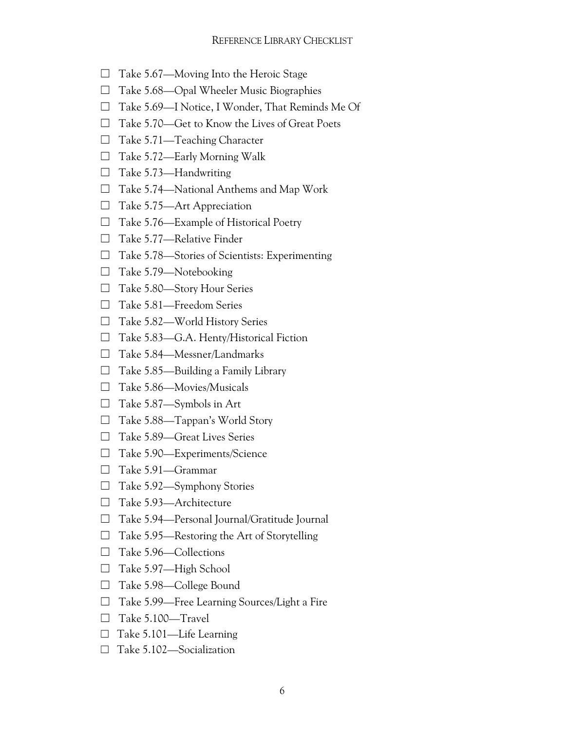- $\Box$  Take 5.67—Moving Into the Heroic Stage
- ☐ Take 5.68—Opal Wheeler Music Biographies
- ☐ Take 5.69—I Notice, I Wonder, That Reminds Me Of
- ☐ Take 5.70—Get to Know the Lives of Great Poets
- $\Box$  Take 5.71—Teaching Character
- $\Box$  Take 5.72—Early Morning Walk
- $\Box$  Take 5.73—Handwriting
- $\Box$  Take 5.74—National Anthems and Map Work
- $\Box$  Take 5.75—Art Appreciation
- $\Box$  Take 5.76—Example of Historical Poetry
- ☐ Take 5.77—Relative Finder
- $\Box$  Take 5.78—Stories of Scientists: Experimenting
- □ Take 5.79—Notebooking
- ☐ Take 5.80—Story Hour Series
- ☐ Take 5.81—Freedom Series
- ☐ Take 5.82—World History Series
- ☐ Take 5.83—G.A. Henty/Historical Fiction
- ☐ Take 5.84—Messner/Landmarks
- $\Box$  Take 5.85—Building a Family Library
- ☐ Take 5.86—Movies/Musicals
- ☐ Take 5.87—Symbols in Art
- $\Box$  Take 5.88—Tappan's World Story
- ☐ Take 5.89—Great Lives Series
- ☐ Take 5.90—Experiments/Science
- ☐ Take 5.91—Grammar
- ☐ Take 5.92—Symphony Stories
- □ Take 5.93—Architecture
- ☐ Take 5.94—Personal Journal/Gratitude Journal
- $\Box$  Take 5.95—Restoring the Art of Storytelling
- □ Take 5.96—Collections
- ☐ Take 5.97—High School
- □ Take 5.98—College Bound
- ☐ Take 5.99—Free Learning Sources/Light a Fire
- ☐ Take 5.100—Travel
- ☐ Take 5.101—Life Learning
- ☐ Take 5.102—Socialization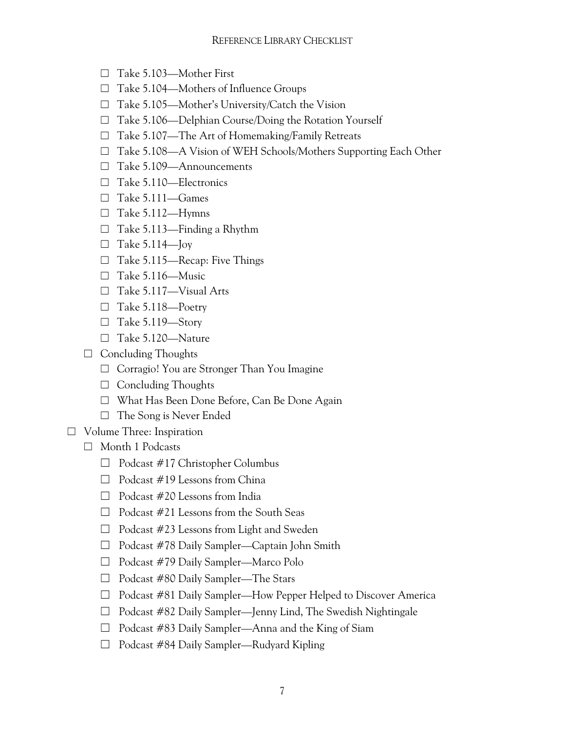- ☐ Take 5.103—Mother First
- ☐ Take 5.104—Mothers of Influence Groups
- ☐ Take 5.105—Mother's University/Catch the Vision
- ☐ Take 5.106—Delphian Course/Doing the Rotation Yourself
- ☐ Take 5.107—The Art of Homemaking/Family Retreats
- ☐ Take 5.108—A Vision of WEH Schools/Mothers Supporting Each Other
- ☐ Take 5.109—Announcements
- ☐ Take 5.110—Electronics
- ☐ Take 5.111—Games
- $\Box$  Take 5.112—Hymns
- $\Box$  Take 5.113—Finding a Rhythm
- $\Box$  Take 5.114—Joy
- ☐ Take 5.115—Recap: Five Things
- $\Box$  Take 5.116—Music
- ☐ Take 5.117—Visual Arts
- ☐ Take 5.118—Poetry
- $\Box$  Take 5.119—Story
- ☐ Take 5.120—Nature
- $\Box$  Concluding Thoughts
	- ☐ Corragio! You are Stronger Than You Imagine
	- ☐ Concluding Thoughts
	- ☐ What Has Been Done Before, Can Be Done Again
	- $\Box$  The Song is Never Ended
- ☐ Volume Three: Inspiration
	- ☐ Month 1 Podcasts
		- $\Box$  Podcast #17 Christopher Columbus
		- $\Box$  Podcast #19 Lessons from China
		- $\Box$  Podcast #20 Lessons from India
		- ☐ Podcast #21 Lessons from the South Seas
		- ☐ Podcast #23 Lessons from Light and Sweden
		- ☐ Podcast #78 Daily Sampler—Captain John Smith
		- ☐ Podcast #79 Daily Sampler—Marco Polo
		- ☐ Podcast #80 Daily Sampler—The Stars
		- ☐ Podcast #81 Daily Sampler—How Pepper Helped to Discover America
		- ☐ Podcast #82 Daily Sampler—Jenny Lind, The Swedish Nightingale
		- ☐ Podcast #83 Daily Sampler—Anna and the King of Siam
		- ☐ Podcast #84 Daily Sampler—Rudyard Kipling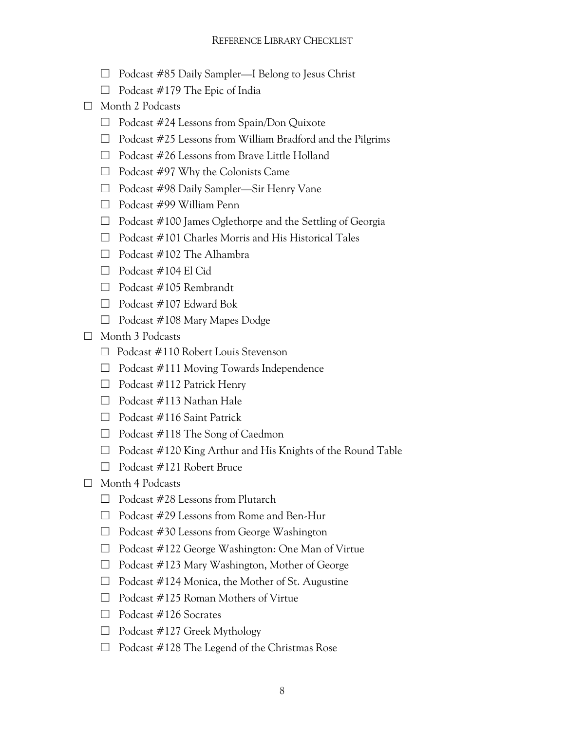- ☐ Podcast #85 Daily Sampler—I Belong to Jesus Christ
- $\Box$  Podcast #179 The Epic of India
- ☐ Month 2 Podcasts
	- ☐ Podcast #24 Lessons from Spain/Don Quixote
	- $\Box$  Podcast #25 Lessons from William Bradford and the Pilgrims
	- ☐ Podcast #26 Lessons from Brave Little Holland
	- $\Box$  Podcast #97 Why the Colonists Came
	- ☐ Podcast #98 Daily Sampler—Sir Henry Vane
	- ☐ Podcast #99 William Penn
	- ☐ Podcast #100 James Oglethorpe and the Settling of Georgia
	- ☐ Podcast #101 Charles Morris and His Historical Tales
	- $\Box$  Podcast #102 The Alhambra
	- $\Box$  Podcast #104 El Cid
	- ☐ Podcast #105 Rembrandt
	- $\Box$  Podcast #107 Edward Bok
	- $\Box$  Podcast #108 Mary Mapes Dodge
- ☐ Month 3 Podcasts
	- ☐ Podcast #110 Robert Louis Stevenson
	- $\Box$  Podcast #111 Moving Towards Independence
	- $\Box$  Podcast #112 Patrick Henry
	- ☐ Podcast #113 Nathan Hale
	- ☐ Podcast #116 Saint Patrick
	- $\Box$  Podcast #118 The Song of Caedmon
	- ☐ Podcast #120 King Arthur and His Knights of the Round Table
	- ☐ Podcast #121 Robert Bruce
- ☐ Month 4 Podcasts
	- $\Box$  Podcast #28 Lessons from Plutarch
	- ☐ Podcast #29 Lessons from Rome and Ben-Hur
	- $\Box$  Podcast #30 Lessons from George Washington
	- ☐ Podcast #122 George Washington: One Man of Virtue
	- ☐ Podcast #123 Mary Washington, Mother of George
	- $\Box$  Podcast #124 Monica, the Mother of St. Augustine
	- $\Box$  Podcast #125 Roman Mothers of Virtue
	- ☐ Podcast #126 Socrates
	- $\Box$  Podcast #127 Greek Mythology
	- $\Box$  Podcast #128 The Legend of the Christmas Rose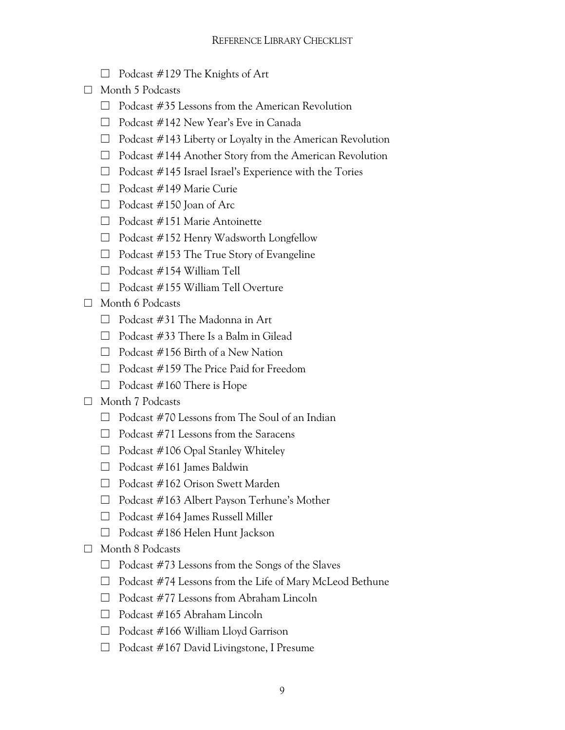- $\Box$  Podcast #129 The Knights of Art
- ☐ Month 5 Podcasts
	- $\Box$  Podcast #35 Lessons from the American Revolution
	- ☐ Podcast #142 New Year's Eve in Canada
	- $\Box$  Podcast #143 Liberty or Loyalty in the American Revolution
	- ☐ Podcast #144 Another Story from the American Revolution
	- ☐ Podcast #145 Israel Israel's Experience with the Tories
	- ☐ Podcast #149 Marie Curie
	- $\Box$  Podcast #150 Joan of Arc.
	- ☐ Podcast #151 Marie Antoinette
	- ☐ Podcast #152 Henry Wadsworth Longfellow
	- $\Box$  Podcast #153 The True Story of Evangeline
	- ☐ Podcast #154 William Tell
	- ☐ Podcast #155 William Tell Overture
- ☐ Month 6 Podcasts
	- $\Box$  Podcast #31 The Madonna in Art
	- $\Box$  Podcast #33 There Is a Balm in Gilead
	- $\Box$  Podcast #156 Birth of a New Nation
	- $\Box$  Podcast #159 The Price Paid for Freedom
	- $\Box$  Podcast #160 There is Hope
- ☐ Month 7 Podcasts
	- $\Box$  Podcast #70 Lessons from The Soul of an Indian
	- $\Box$  Podcast #71 Lessons from the Saracens
	- $\Box$  Podcast #106 Opal Stanley Whiteley
	- $\Box$  Podcast #161 James Baldwin
	- ☐ Podcast #162 Orison Swett Marden
	- ☐ Podcast #163 Albert Payson Terhune's Mother
	- $\Box$  Podcast #164 James Russell Miller
	- ☐ Podcast #186 Helen Hunt Jackson
- ☐ Month 8 Podcasts
	- $\Box$  Podcast #73 Lessons from the Songs of the Slaves
	- ☐ Podcast #74 Lessons from the Life of Mary McLeod Bethune
	- $\Box$  Podcast #77 Lessons from Abraham Lincoln
	- ☐ Podcast #165 Abraham Lincoln
	- $\Box$  Podcast #166 William Lloyd Garrison
	- ☐ Podcast #167 David Livingstone, I Presume